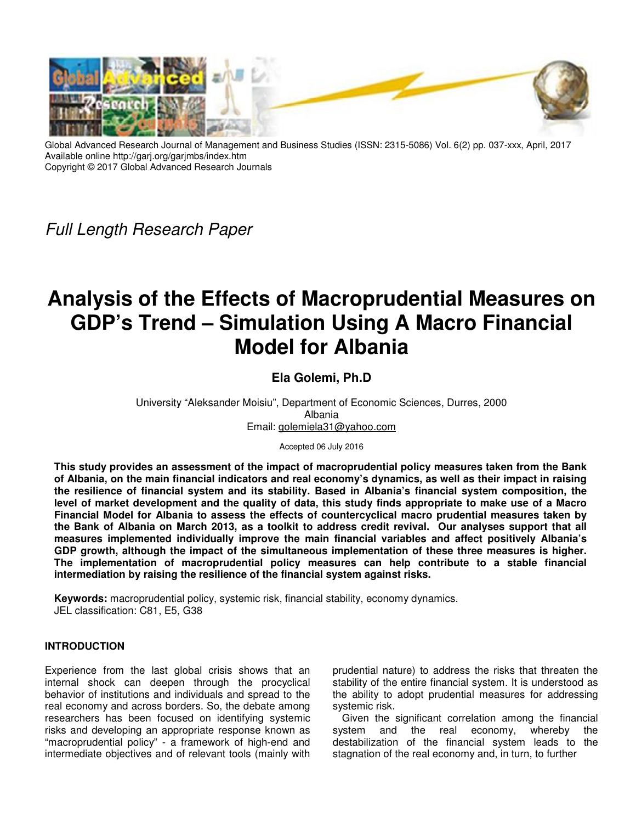

Advanced Research Journal of Management and Business Studies (ISSN: 2315-5086) Vol. 6(2) pp. 037-xxx, April, 2017 Available online http://garj.org/garjmbs/index.htm Copyright © 2017 Global Advanced Research Journals

*Full Length Research Paper* 

# **Analysis of the Effects of Macroprudential Measures on GDP's Trend – Simulation Using A Macro Financial Model for Albania**

# **Ela Golemi, Ph.D**

University "Aleksander Moisiu", Department of Economic Sciences, Durres, 2000 Albania Email: golemiela31@yahoo.com

Accepted 06 July 2016

**This study provides an assessment of the impact of macroprudential policy measures taken from the Bank of Albania, on the main financial indicators and real economy's dynamics, as well as their impact in raising the resilience of financial system and its stability. Based in Albania's financial system composition, the level of market development and the quality of data, this study finds appropriate to make use of a Macro Financial Model for Albania to assess the effects of countercyclical macro prudential measures taken by the Bank of Albania on March 2013, as a toolkit to address credit revival. Our analyses support that all measures implemented individually improve the main financial variables and affect positively Albania's GDP growth, although the impact of the simultaneous implementation of these three measures is higher. The implementation of macroprudential policy measures can help contribute to a stable financial intermediation by raising the resilience of the financial system against risks.** 

**Keywords:** macroprudential policy, systemic risk, financial stability, economy dynamics. JEL classification: C81, E5, G38

# **INTRODUCTION**

Experience from the last global crisis shows that an internal shock can deepen through the procyclical behavior of institutions and individuals and spread to the real economy and across borders. So, the debate among researchers has been focused on identifying systemic risks and developing an appropriate response known as "macroprudential policy" - a framework of high-end and intermediate objectives and of relevant tools (mainly with

prudential nature) to address the risks that threaten the stability of the entire financial system. It is understood as the ability to adopt prudential measures for addressing systemic risk.

Given the significant correlation among the financial system and the real economy, whereby the destabilization of the financial system leads to the stagnation of the real economy and, in turn, to further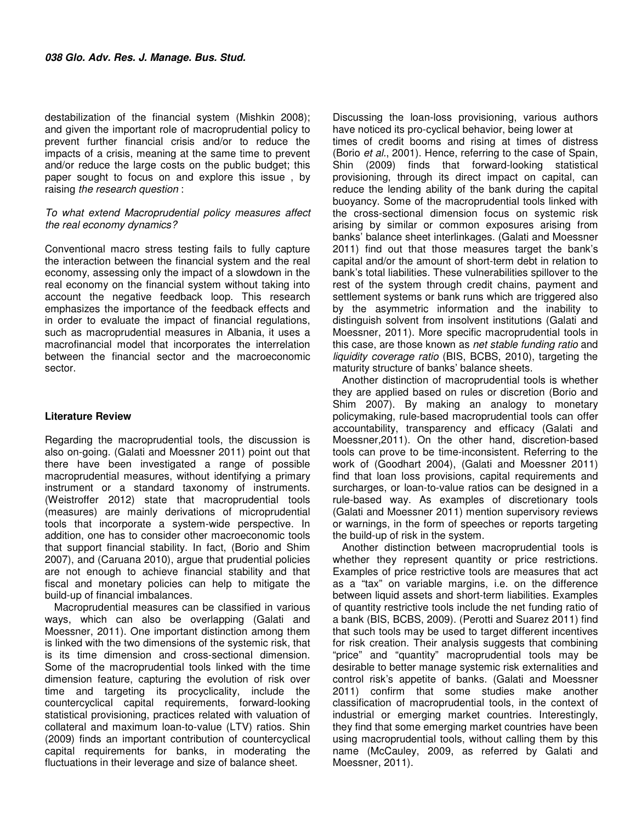destabilization of the financial system (Mishkin 2008); and given the important role of macroprudential policy to prevent further financial crisis and/or to reduce the impacts of a crisis, meaning at the same time to prevent and/or reduce the large costs on the public budget; this paper sought to focus on and explore this issue , by raising *the research question* :

#### *To what extend Macroprudential policy measures affect the real economy dynamics?*

Conventional macro stress testing fails to fully capture the interaction between the financial system and the real economy, assessing only the impact of a slowdown in the real economy on the financial system without taking into account the negative feedback loop. This research emphasizes the importance of the feedback effects and in order to evaluate the impact of financial regulations, such as macroprudential measures in Albania, it uses a macrofinancial model that incorporates the interrelation between the financial sector and the macroeconomic sector.

## **Literature Review**

Regarding the macroprudential tools, the discussion is also on-going. (Galati and Moessner 2011) point out that there have been investigated a range of possible macroprudential measures, without identifying a primary instrument or a standard taxonomy of instruments. (Weistroffer 2012) state that macroprudential tools (measures) are mainly derivations of microprudential tools that incorporate a system-wide perspective. In addition, one has to consider other macroeconomic tools that support financial stability. In fact, (Borio and Shim 2007), and (Caruana 2010), argue that prudential policies are not enough to achieve financial stability and that fiscal and monetary policies can help to mitigate the build-up of financial imbalances.

Macroprudential measures can be classified in various ways, which can also be overlapping (Galati and Moessner, 2011). One important distinction among them is linked with the two dimensions of the systemic risk, that is its time dimension and cross-sectional dimension. Some of the macroprudential tools linked with the time dimension feature, capturing the evolution of risk over time and targeting its procyclicality, include the countercyclical capital requirements, forward-looking statistical provisioning, practices related with valuation of collateral and maximum loan-to-value (LTV) ratios. Shin (2009) finds an important contribution of countercyclical capital requirements for banks, in moderating the fluctuations in their leverage and size of balance sheet.

Discussing the loan-loss provisioning, various authors have noticed its pro-cyclical behavior, being lower at times of credit booms and rising at times of distress (Borio *et al.*, 2001). Hence, referring to the case of Spain, Shin (2009) finds that forward-looking statistical provisioning, through its direct impact on capital, can reduce the lending ability of the bank during the capital buoyancy. Some of the macroprudential tools linked with the cross-sectional dimension focus on systemic risk arising by similar or common exposures arising from banks' balance sheet interlinkages. (Galati and Moessner 2011) find out that those measures target the bank's capital and/or the amount of short-term debt in relation to bank's total liabilities. These vulnerabilities spillover to the rest of the system through credit chains, payment and settlement systems or bank runs which are triggered also by the asymmetric information and the inability to distinguish solvent from insolvent institutions (Galati and Moessner, 2011). More specific macroprudential tools in this case, are those known as *net stable funding ratio* and *liquidity coverage ratio* (BIS, BCBS, 2010), targeting the maturity structure of banks' balance sheets.

Another distinction of macroprudential tools is whether they are applied based on rules or discretion (Borio and Shim 2007). By making an analogy to monetary policymaking, rule-based macroprudential tools can offer accountability, transparency and efficacy (Galati and Moessner,2011). On the other hand, discretion-based tools can prove to be time-inconsistent. Referring to the work of (Goodhart 2004), (Galati and Moessner 2011) find that loan loss provisions, capital requirements and surcharges, or loan-to-value ratios can be designed in a rule-based way. As examples of discretionary tools (Galati and Moessner 2011) mention supervisory reviews or warnings, in the form of speeches or reports targeting the build-up of risk in the system.

Another distinction between macroprudential tools is whether they represent quantity or price restrictions. Examples of price restrictive tools are measures that act as a "tax" on variable margins, i.e. on the difference between liquid assets and short-term liabilities. Examples of quantity restrictive tools include the net funding ratio of a bank (BIS, BCBS, 2009). (Perotti and Suarez 2011) find that such tools may be used to target different incentives for risk creation. Their analysis suggests that combining "price" and "quantity" macroprudential tools may be desirable to better manage systemic risk externalities and control risk's appetite of banks. (Galati and Moessner 2011) confirm that some studies make another classification of macroprudential tools, in the context of industrial or emerging market countries. Interestingly, they find that some emerging market countries have been using macroprudential tools, without calling them by this name (McCauley, 2009, as referred by Galati and Moessner, 2011).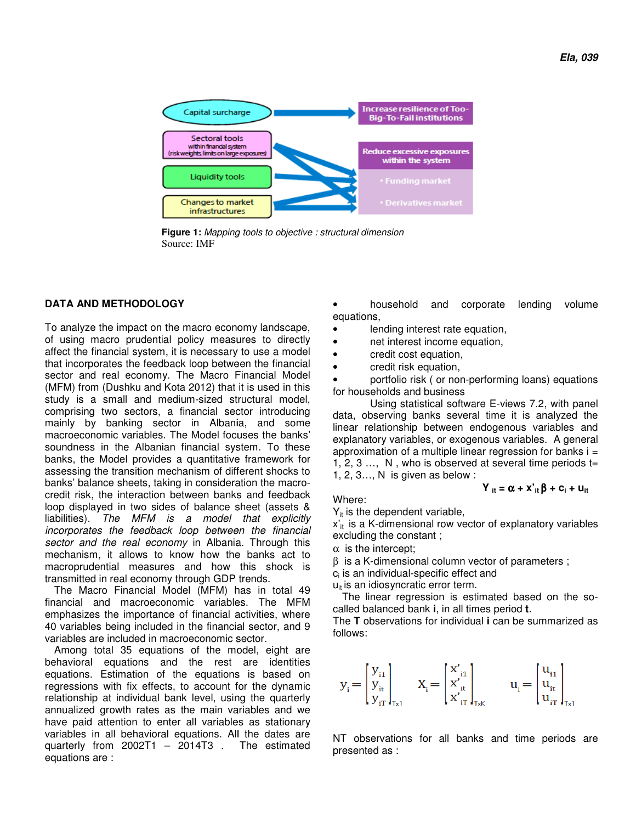

**Figure 1:** Mapping tools to objective : structural dimension Source: IMF

### **DATA AND METHODOLOGY**

To analyze the impact on the macro economy landscape, of using macro prudential policy measures to directly affect the financial system, it is necessary to use a model that incorporates the feedback loop between the financial sector and real economy. The Macro Financial Model (MFM) from (Dushku and Kota 2012) that it is used in this study is a small and medium-sized structural model, comprising two sectors, a financial sector introducing mainly by banking sector in Albania, and some macroeconomic variables. The Model focuses the banks' soundness in the Albanian financial system. To these banks, the Model provides a quantitative framework for assessing the transition mechanism of different shocks to banks' balance sheets, taking in consideration the macro credit risk, the interaction between banks and feedback credit risk, the interaction between banks and feedback<br>loop displayed in two sides of balance sheet (assets & liabilities). *The MFM is a model that explicitly incorporates the feedback loop between the financial between sector and the real economy* in Albania. Albania. Through this mechanism, it allows to know how the banks act to macroprudential measures and how this shock is transmitted in real economy through GDP trends. To analyze the impact on the macro economy landscape,<br>of using macro prudential policy measures to directly<br>affect the financial system, it is necessary to use a model<br>that incorporates the feedback loop between the financ **METHODOLOGY**<br>
the impact on the macro exconony landscape.<br>
the impact on the dynamic means of purelent and the eight of the eight of the eight of the eight of the eight of the eight of the interest and the corporation,<br>

The Macro Financial Model (MFM) has in total 49 financial and macroeconomic variables. The MFM emphasizes the importance of financial activities, where 40 variables being included in the financial sector, and variables are included in macroeconomic sector. mechanism, it allows to know how the banks act to<br>macroprudential measures and how this shock is<br>transmitted in real economy through GDP trends.<br>The Macro Financial Model (MFM) has in total 49<br>financial and macroeconomic v

Among total 35 equations of the model, eight are behavioral equations and the rest are identities equations. Estimation of the equations is based on regressions with fix effects, to account for the dynamic relationship at individual bank level, using the quarterly annualized growth rates as the main variables and we have paid attention to enter all variables as stationary variables in all behavioral equations. All the dates are quarterly from 2002T1 – 2014T3 . The estimated equations are :

equations, household and corporate lending volume<br>
is,<br>
lending interest rate equation,<br>
net interest income equation,<br>
credit risk equation,<br>
credit risk equation,<br>
portfolio risk ( or non-performing loans) equations<br>
eholds and bus

- lending interest rate equation,
- net interest income equation,
- credit cost equation,
- credit risk equation,

• portfolio risk ( or non-performing loans) equations for households and business

Using statistical software E-views 7.2, with panel data, observing banks several time it is analyzed the linear relationship between endogenous variables and explanatory variables, or exogenous variables. A general approximation of a multiple linear regression for banks i = 1, 2, 3  $\dots$ , N, who is observed at several time periods  $t=$ 1, 2, 3…, N is given as below : data, observing banks several time it is analyzed the linear relationship between endogenous variables arexplanatory variables, or exogenous variables. A gener approximation of a multiple linear regression for banks i 1, 2

Where:

 $Y_{it}$  is the dependent variable,

 $x'_{it}$  is a K-dimensional row vector of explanatory variables<br>excluding the constant ;<br> $\alpha$  is the intercept;<br> $\beta$  is a K-dimensional column vector of parameters ;<br> $c_i$  is an individual-specific effect and<br> $u_{it}$  is an i excluding the constant ;

**Y**<sub>it</sub> =  $\alpha$  +  $\mathbf{x}'$ <sub>it</sub>  $\beta$  +  $\mathbf{c}_i$  +  $\mathbf{u}_{it}$ 

 $\alpha$  is the intercept;

β is a K-dimensional column vector of parameters ;

- $c_i$  is an individual-specific effect and
- $u_{it}$  is an idiosyncratic error term.

The linear regression is estimated based on the so called balanced bank **i**, in all times period **t**.

The **T** observations for individual **i** can be summarized as follows:

$$
y_i\!=\!\begin{bmatrix}y_{i1}\\ y_{it}\\ y_{iT}\end{bmatrix}_{T_{x1}}& X_i\!=\!\begin{bmatrix}x'_{i1}\\ x'_{it}\\ x'_{iT}\end{bmatrix}_{T_{xK}}& u_i\!=\!\begin{bmatrix}u_{i1}\\ u_{it}\\ u_{iT}\end{bmatrix}_{T_{x1}}
$$

NT observations for all banks and time periods are NT presented as :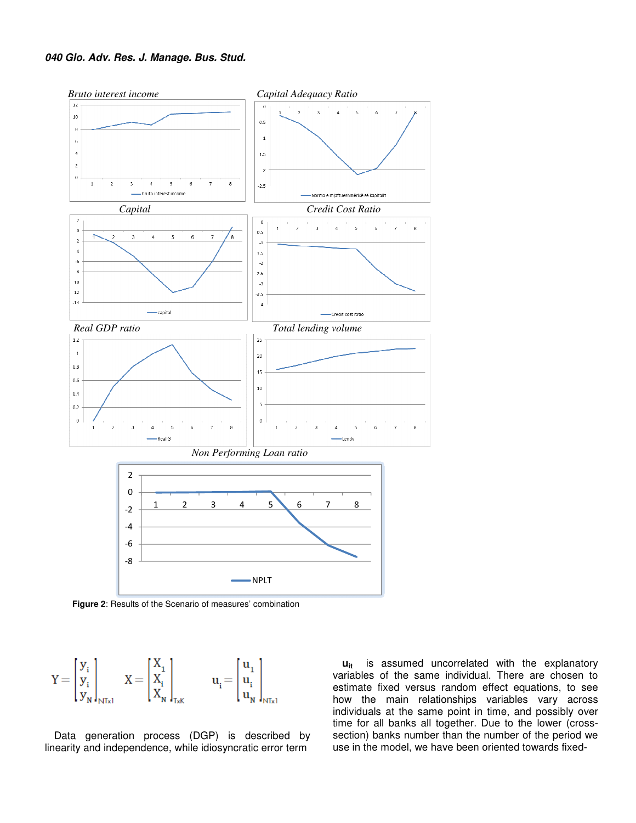

**Figure 2**: Results of the Scenario of measures' combination

$$
Y = \begin{bmatrix} y_i \\ y_i \\ y_N \end{bmatrix}_{NTx} \qquad X = \begin{bmatrix} X_1 \\ X_i \\ X_N \end{bmatrix}_{TxK} \qquad u_i = \begin{bmatrix} u_1 \\ u_i \\ u_N \end{bmatrix}_{NTx}
$$

Data generation process (DGP) is described by Data generation process (DGP) is described by<br>linearity and independence, while idiosyncratic error term

**uit** is assumed uncorrelated with the explanatory variables of the same individual. There are chosen to estimate fixed versus random effect equations, to see how the main relationships variables vary across individuals at the same point in time, and possibly o time for all banks all together. Due to the lower (crosssection) banks number than the number of the period we section) banks number than the number of the period w<br>use in the model, we have been oriented towards fixed $u_{it}$  is assumed uncorrelated with the explanatory variables of the same individual. There are chosen to estimate fixed versus random effect equations, to see how the main relationships variables vary across individuals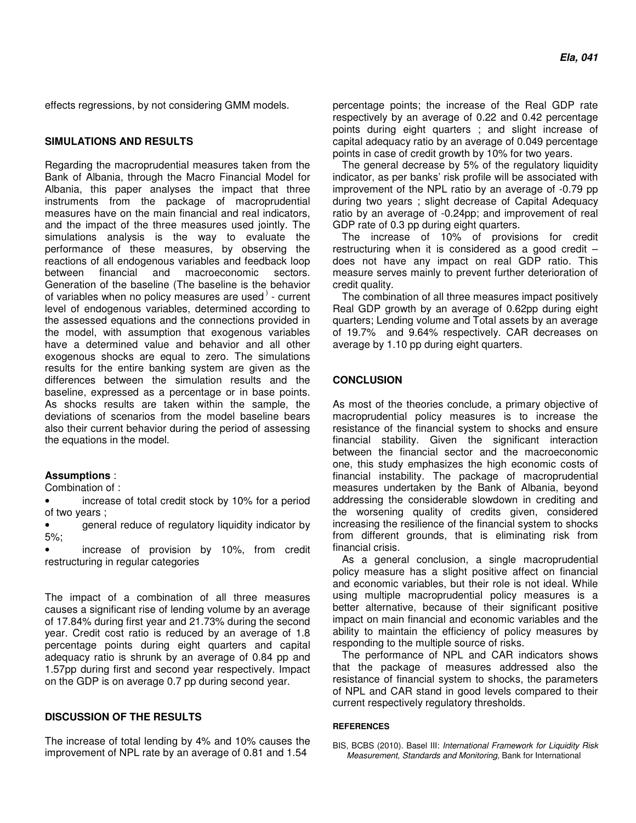effects regressions, by not considering GMM models.

#### **SIMULATIONS AND RESULTS**

Regarding the macroprudential measures taken from the Bank of Albania, through the Macro Financial Model for Albania, this paper analyses the impact that three instruments from the package of macroprudential measures have on the main financial and real indicators, and the impact of the three measures used jointly. The simulations analysis is the way to evaluate the performance of these measures, by observing the reactions of all endogenous variables and feedback loop between financial and macroeconomic sectors. Generation of the baseline (The baseline is the behavior of variables when no policy measures are used<sup>)</sup> - current level of endogenous variables, determined according to the assessed equations and the connections provided in the model, with assumption that exogenous variables have a determined value and behavior and all other exogenous shocks are equal to zero. The simulations results for the entire banking system are given as the differences between the simulation results and the baseline, expressed as a percentage or in base points. As shocks results are taken within the sample, the deviations of scenarios from the model baseline bears also their current behavior during the period of assessing the equations in the model.

#### **Assumptions** :

Combination of :

• increase of total credit stock by 10% for a period of two years ;

• general reduce of regulatory liquidity indicator by 5%;

• increase of provision by 10%, from credit restructuring in regular categories

The impact of a combination of all three measures causes a significant rise of lending volume by an average of 17.84% during first year and 21.73% during the second year. Credit cost ratio is reduced by an average of 1.8 percentage points during eight quarters and capital adequacy ratio is shrunk by an average of 0.84 pp and 1.57pp during first and second year respectively. Impact on the GDP is on average 0.7 pp during second year.

#### **DISCUSSION OF THE RESULTS**

The increase of total lending by 4% and 10% causes the improvement of NPL rate by an average of 0.81 and 1.54

percentage points; the increase of the Real GDP rate respectively by an average of 0.22 and 0.42 percentage points during eight quarters ; and slight increase of capital adequacy ratio by an average of 0.049 percentage points in case of credit growth by 10% for two years.

The general decrease by 5% of the regulatory liquidity indicator, as per banks' risk profile will be associated with improvement of the NPL ratio by an average of -0.79 pp during two years ; slight decrease of Capital Adequacy ratio by an average of -0.24pp; and improvement of real GDP rate of 0.3 pp during eight quarters.

The increase of 10% of provisions for credit restructuring when it is considered as a good credit – does not have any impact on real GDP ratio. This measure serves mainly to prevent further deterioration of credit quality.

The combination of all three measures impact positively Real GDP growth by an average of 0.62pp during eight quarters; Lending volume and Total assets by an average of 19.7% and 9.64% respectively. CAR decreases on average by 1.10 pp during eight quarters.

#### **CONCLUSION**

As most of the theories conclude, a primary objective of macroprudential policy measures is to increase the resistance of the financial system to shocks and ensure financial stability. Given the significant interaction between the financial sector and the macroeconomic one, this study emphasizes the high economic costs of financial instability. The package of macroprudential measures undertaken by the Bank of Albania, beyond addressing the considerable slowdown in crediting and the worsening quality of credits given, considered increasing the resilience of the financial system to shocks from different grounds, that is eliminating risk from financial crisis.

As a general conclusion, a single macroprudential policy measure has a slight positive affect on financial and economic variables, but their role is not ideal. While using multiple macroprudential policy measures is a better alternative, because of their significant positive impact on main financial and economic variables and the ability to maintain the efficiency of policy measures by responding to the multiple source of risks.

The performance of NPL and CAR indicators shows that the package of measures addressed also the resistance of financial system to shocks, the parameters of NPL and CAR stand in good levels compared to their current respectively regulatory thresholds.

#### **REFERENCES**

BIS, BCBS (2010). Basel III: *International Framework for Liquidity Risk Measurement, Standards and Monitoring,* Bank for International